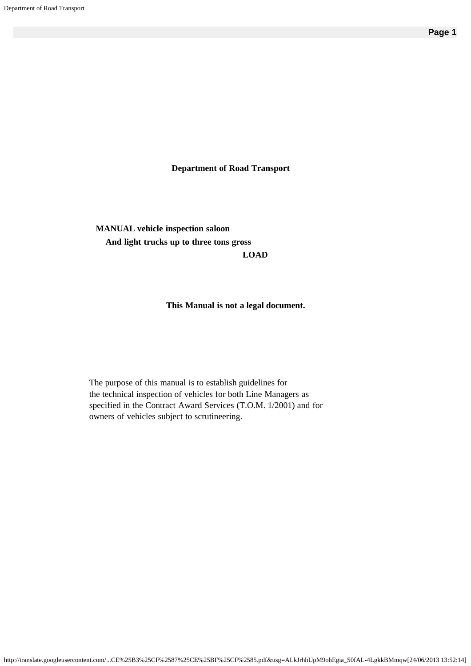**Department of Road Transport**

**MANUAL vehicle inspection saloon And light trucks up to three tons gross LOAD**

#### **This Manual is not a legal document.**

The purpose of this manual is to establish guidelines for the technical inspection of vehicles for both Line Managers as specified in the Contract Award Services (T.O.M. 1/2001) and for owners of vehicles subject to scrutineering.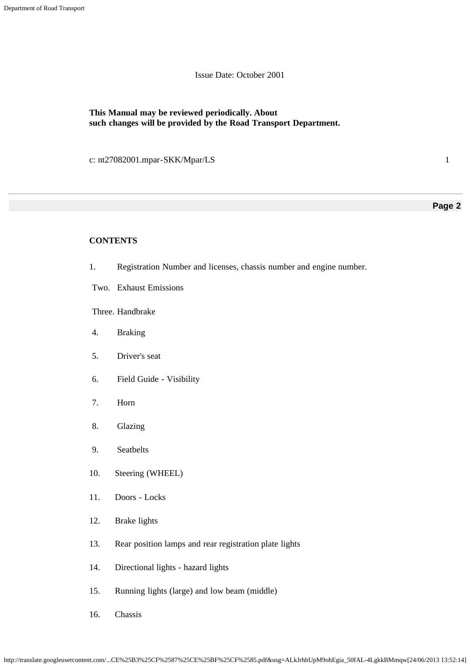Issue Date: October 2001

### **This Manual may be reviewed periodically. About such changes will be provided by the Road Transport Department.**

c: nt27082001.mpar-SKK/Mpar/LS 1

#### **Page 2**

#### **CONTENTS**

- 1. Registration Number and licenses, chassis number and engine number.
- Two. Exhaust Emissions

Three. Handbrake

- 4. Braking
- 5. Driver's seat
- 6. Field Guide Visibility
- 7. Horn
- 8. Glazing
- 9. Seatbelts
- 10. Steering (WHEEL)
- 11. Doors Locks
- 12. Brake lights
- 13. Rear position lamps and rear registration plate lights
- 14. Directional lights hazard lights
- 15. Running lights (large) and low beam (middle)
- 16. Chassis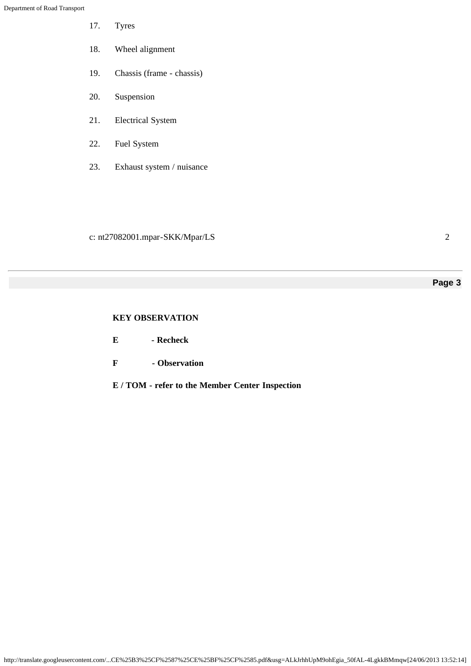- 17. Tyres
- 18. Wheel alignment
- 19. Chassis (frame chassis)
- 20. Suspension
- 21. Electrical System
- 22. Fuel System
- 23. Exhaust system / nuisance

c: nt27082001.mpar-SKK/Mpar/LS 2

# **Page 3**

# **KEY OBSERVATION**

- **E Recheck**
- **F Observation**
- **E / TOM refer to the Member Center Inspection**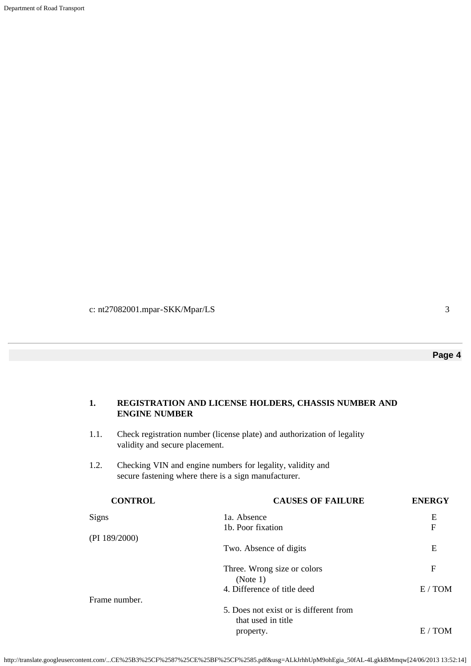Department of Road Transport

c: nt27082001.mpar-SKK/Mpar/LS 3

# **Page 4**

# **1. REGISTRATION AND LICENSE HOLDERS, CHASSIS NUMBER AND ENGINE NUMBER**

- 1.1. Check registration number (license plate) and authorization of legality validity and secure placement.
- 1.2. Checking VIN and engine numbers for legality, validity and secure fastening where there is a sign manufacturer.

| <b>CAUSES OF FAILURE</b>               | <b>ENERGY</b> |
|----------------------------------------|---------------|
| 1a. Absence                            | Ε             |
| 1b. Poor fixation                      | F             |
|                                        |               |
| Two. Absence of digits                 | Ε             |
| Three. Wrong size or colors            | F             |
| (Note 1)                               |               |
| 4. Difference of title deed            | E/TOM         |
|                                        |               |
| 5. Does not exist or is different from |               |
| that used in title                     |               |
| property.                              | E /<br>TOM    |
|                                        |               |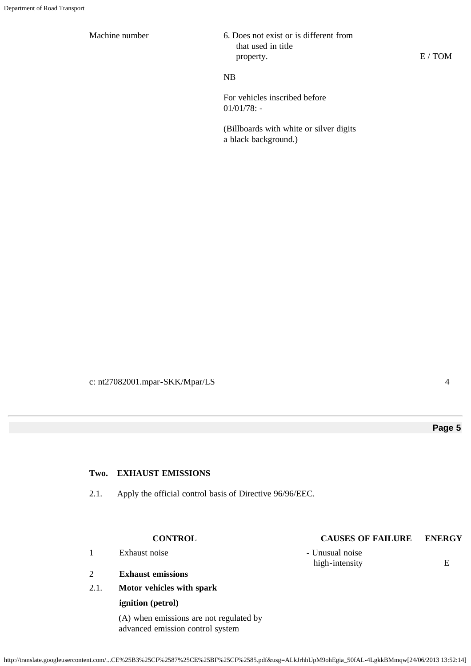Machine number

| 6. Does not exist or is different from |
|----------------------------------------|
| that used in title                     |
| property.                              |

# NB

For vehicles inscribed before 01/01/78: -

(Billboards with white or silver digits a black background.)

c: nt27082001.mpar-SKK/Mpar/LS 4

E / TOM

# **Page 5**

#### **Two. EXHAUST EMISSIONS**

2.1. Apply the official control basis of Directive 96/96/EEC.

- 1 Exhaust noise Unusual noise
- 2 **Exhaust emissions**
- 2.1. **Motor vehicles with spark**

### **ignition (petrol)**

(A) when emissions are not regulated by advanced emission control system

# **CONTROL CAUSES OF FAILURE ENERGY**

high-intensity E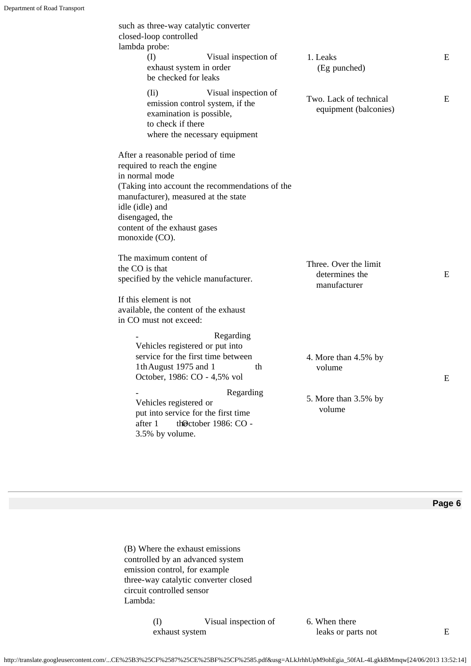| such as three-way catalytic converter<br>closed-loop controlled<br>lambda probe:<br>(I)<br>exhaust system in order | Visual inspection of                                                                     | 1. Leaks<br>(Eg punched)                        | E |
|--------------------------------------------------------------------------------------------------------------------|------------------------------------------------------------------------------------------|-------------------------------------------------|---|
| be checked for leaks                                                                                               |                                                                                          |                                                 |   |
| $(I_i)$<br>examination is possible,<br>to check if there                                                           | Visual inspection of<br>emission control system, if the<br>where the necessary equipment | Two. Lack of technical<br>equipment (balconies) | E |
| After a reasonable period of time                                                                                  |                                                                                          |                                                 |   |
| required to reach the engine                                                                                       |                                                                                          |                                                 |   |
| in normal mode                                                                                                     |                                                                                          |                                                 |   |
|                                                                                                                    | (Taking into account the recommendations of the                                          |                                                 |   |
| manufacturer), measured at the state                                                                               |                                                                                          |                                                 |   |
| idle (idle) and<br>disengaged, the                                                                                 |                                                                                          |                                                 |   |
| content of the exhaust gases                                                                                       |                                                                                          |                                                 |   |
| monoxide (CO).                                                                                                     |                                                                                          |                                                 |   |
| The maximum content of                                                                                             |                                                                                          |                                                 |   |
| the CO is that                                                                                                     |                                                                                          | Three. Over the limit<br>determines the         | E |
| specified by the vehicle manufacturer.                                                                             |                                                                                          | manufacturer                                    |   |
| If this element is not                                                                                             |                                                                                          |                                                 |   |
| available, the content of the exhaust                                                                              |                                                                                          |                                                 |   |
|                                                                                                                    |                                                                                          |                                                 |   |
|                                                                                                                    |                                                                                          |                                                 |   |
| in CO must not exceed:                                                                                             | Regarding                                                                                |                                                 |   |
| Vehicles registered or put into                                                                                    |                                                                                          |                                                 |   |
|                                                                                                                    | service for the first time between                                                       | 4. More than 4.5% by                            |   |
| 1th August 1975 and 1                                                                                              | th                                                                                       | volume                                          |   |
| October, 1986: CO - 4,5% vol                                                                                       | Regarding                                                                                |                                                 | E |

(B) Where the exhaust emissions controlled by an advanced system emission control, for example three-way catalytic converter closed circuit controlled sensor Lambda:

> (I) Visual inspection of exhaust system

6. When there leaks or parts not E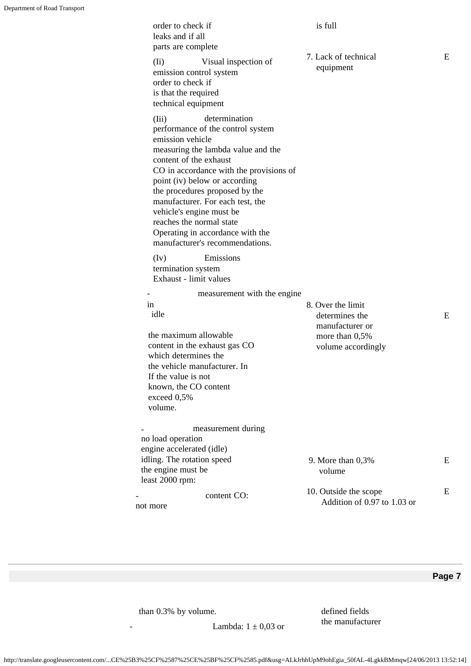| order to check if<br>leaks and if all<br>parts are complete                                                                                                                                                                                                                                                                                                                                                                      | is full                                              |   |
|----------------------------------------------------------------------------------------------------------------------------------------------------------------------------------------------------------------------------------------------------------------------------------------------------------------------------------------------------------------------------------------------------------------------------------|------------------------------------------------------|---|
| Visual inspection of<br>$(I_i)$<br>emission control system<br>order to check if<br>is that the required<br>technical equipment                                                                                                                                                                                                                                                                                                   | 7. Lack of technical<br>equipment                    | E |
| determination<br>(Iii)<br>performance of the control system<br>emission vehicle<br>measuring the lambda value and the<br>content of the exhaust<br>CO in accordance with the provisions of<br>point (iv) below or according<br>the procedures proposed by the<br>manufacturer. For each test, the<br>vehicle's engine must be<br>reaches the normal state<br>Operating in accordance with the<br>manufacturer's recommendations. |                                                      |   |
| Emissions<br>(Iv)<br>termination system<br>Exhaust - limit values                                                                                                                                                                                                                                                                                                                                                                |                                                      |   |
| measurement with the engine                                                                                                                                                                                                                                                                                                                                                                                                      |                                                      |   |
| in                                                                                                                                                                                                                                                                                                                                                                                                                               | 8. Over the limit                                    |   |
| idle                                                                                                                                                                                                                                                                                                                                                                                                                             | determines the<br>manufacturer or                    | Ε |
| the maximum allowable<br>content in the exhaust gas CO<br>which determines the<br>the vehicle manufacturer. In                                                                                                                                                                                                                                                                                                                   | more than $0,5%$<br>volume accordingly               |   |
| If the value is not                                                                                                                                                                                                                                                                                                                                                                                                              |                                                      |   |
| known, the CO content                                                                                                                                                                                                                                                                                                                                                                                                            |                                                      |   |
| exceed 0,5%<br>volume.                                                                                                                                                                                                                                                                                                                                                                                                           |                                                      |   |
|                                                                                                                                                                                                                                                                                                                                                                                                                                  |                                                      |   |
| measurement during                                                                                                                                                                                                                                                                                                                                                                                                               |                                                      |   |
| no load operation                                                                                                                                                                                                                                                                                                                                                                                                                |                                                      |   |
| engine accelerated (idle)                                                                                                                                                                                                                                                                                                                                                                                                        |                                                      |   |
| idling. The rotation speed                                                                                                                                                                                                                                                                                                                                                                                                       | 9. More than 0,3%                                    | Ε |
| the engine must be<br>least 2000 rpm:                                                                                                                                                                                                                                                                                                                                                                                            | volume                                               |   |
| content CO:<br>not more                                                                                                                                                                                                                                                                                                                                                                                                          | 10. Outside the scope<br>Addition of 0.97 to 1.03 or | Ε |

than 0.3% by volume.

defined fields the manufacturer

- Lambda:  $1 \pm 0.03$  or

http://translate.googleusercontent.com/...CE%25B3%25CF%2587%25CE%25BF%25CF%2585.pdf&usg=ALkJrhhUpM9ohEgia\_50fAL-4LgkkBMmqw[24/06/2013 13:52:14]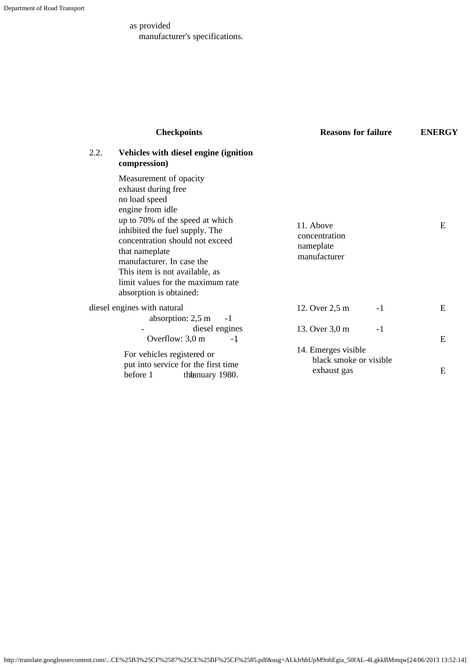as provided manufacturer's specifications.

|      | <b>Checkpoints</b>                                                                                                                                                                                                                                                                                                                          | <b>Reasons for failure</b>                                   | <b>ENERGY</b> |
|------|---------------------------------------------------------------------------------------------------------------------------------------------------------------------------------------------------------------------------------------------------------------------------------------------------------------------------------------------|--------------------------------------------------------------|---------------|
| 2.2. | Vehicles with diesel engine (ignition<br>compression)                                                                                                                                                                                                                                                                                       |                                                              |               |
|      | Measurement of opacity<br>exhaust during free<br>no load speed<br>engine from idle<br>up to 70% of the speed at which<br>inhibited the fuel supply. The<br>concentration should not exceed<br>that nameplate<br>manufacturer. In case the<br>This item is not available, as<br>limit values for the maximum rate<br>absorption is obtained: | 11. Above<br>concentration<br>nameplate<br>manufacturer      | E             |
|      | diesel engines with natural<br>absorption: 2,5 m<br>$-1$                                                                                                                                                                                                                                                                                    | 12. Over 2,5 m<br>$-1$                                       | E             |
|      | diesel engines<br>Overflow: $3,0 \text{ m}$<br>$-1$                                                                                                                                                                                                                                                                                         | 13. Over 3,0 m<br>$-1$                                       | E             |
|      | For vehicles registered or<br>put into service for the first time<br>before 1<br>the animary 1980.                                                                                                                                                                                                                                          | 14. Emerges visible<br>black smoke or visible<br>exhaust gas | E             |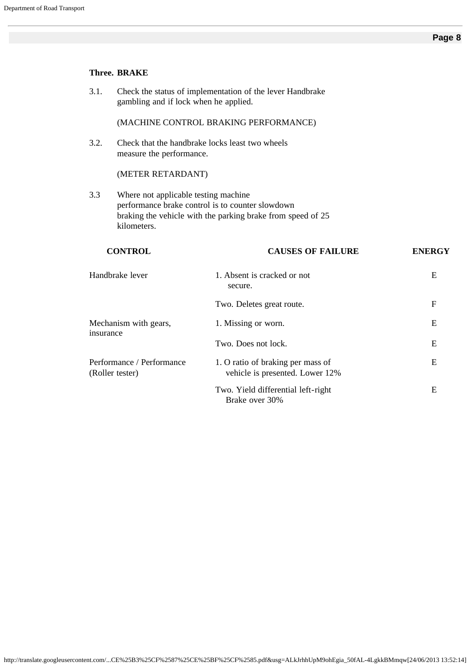|           | <b>Three. BRAKE</b>                                 |                                                                                                                 |               |
|-----------|-----------------------------------------------------|-----------------------------------------------------------------------------------------------------------------|---------------|
| 3.1.      | gambling and if lock when he applied.               | Check the status of implementation of the lever Handbrake                                                       |               |
|           |                                                     | (MACHINE CONTROL BRAKING PERFORMANCE)                                                                           |               |
| 3.2.      | measure the performance.                            | Check that the handbrake locks least two wheels                                                                 |               |
|           | (METER RETARDANT)                                   |                                                                                                                 |               |
| 3.3       | Where not applicable testing machine<br>kilometers. | performance brake control is to counter slowdown<br>braking the vehicle with the parking brake from speed of 25 |               |
|           |                                                     |                                                                                                                 |               |
|           | <b>CONTROL</b>                                      | <b>CAUSES OF FAILURE</b>                                                                                        | <b>ENERGY</b> |
|           | Handbrake lever                                     | 1. Absent is cracked or not<br>secure.                                                                          | E             |
|           |                                                     | Two. Deletes great route.                                                                                       | $\mathbf{F}$  |
|           | Mechanism with gears,                               | 1. Missing or worn.                                                                                             | E             |
| insurance |                                                     | Two. Does not lock.                                                                                             | E             |
|           | Performance / Performance<br>(Roller tester)        | 1. O ratio of braking per mass of<br>vehicle is presented. Lower 12%                                            | E             |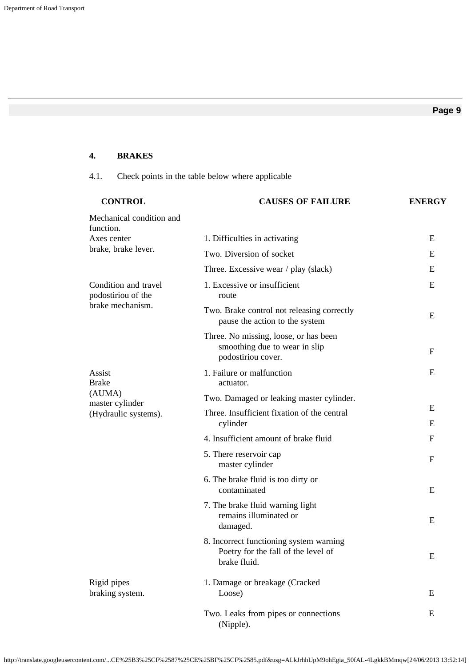# **4. BRAKES**

# 4.1. Check points in the table below where applicable

| <b>CONTROL</b>                             | <b>CAUSES OF FAILURE</b>                                                                       | <b>ENERGY</b> |
|--------------------------------------------|------------------------------------------------------------------------------------------------|---------------|
| Mechanical condition and<br>function.      |                                                                                                |               |
| Axes center<br>brake, brake lever.         | 1. Difficulties in activating                                                                  | E             |
|                                            | Two. Diversion of socket                                                                       | E             |
|                                            | Three. Excessive wear / play (slack)                                                           | E             |
| Condition and travel<br>podostiriou of the | 1. Excessive or insufficient<br>route                                                          | E             |
| brake mechanism.                           | Two. Brake control not releasing correctly<br>pause the action to the system                   | E             |
|                                            | Three. No missing, loose, or has been<br>smoothing due to wear in slip<br>podostiriou cover.   | F             |
| Assist<br><b>Brake</b>                     | 1. Failure or malfunction<br>actuator.                                                         | E             |
| (AUMA)<br>master cylinder                  | Two. Damaged or leaking master cylinder.                                                       |               |
| (Hydraulic systems).                       | Three. Insufficient fixation of the central<br>cylinder                                        | E<br>E        |
|                                            | 4. Insufficient amount of brake fluid                                                          | F             |
|                                            | 5. There reservoir cap<br>master cylinder                                                      | F             |
|                                            | 6. The brake fluid is too dirty or<br>contaminated                                             | E             |
|                                            | 7. The brake fluid warning light<br>remains illuminated or<br>damaged.                         | E             |
|                                            | 8. Incorrect functioning system warning<br>Poetry for the fall of the level of<br>brake fluid. | E             |
| Rigid pipes<br>braking system.             | 1. Damage or breakage (Cracked<br>Loose)                                                       | E             |
|                                            | Two. Leaks from pipes or connections<br>(Nipple).                                              | E             |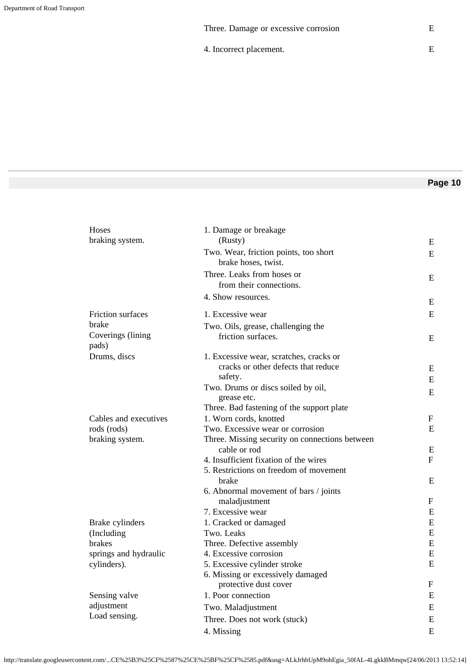4. Incorrect placement.

# **Page 10**

| Hoses                      | 1. Damage or breakage                                          |              |
|----------------------------|----------------------------------------------------------------|--------------|
| braking system.            | (Rusty)                                                        | E            |
|                            | Two. Wear, friction points, too short<br>brake hoses, twist.   | E            |
|                            | Three. Leaks from hoses or                                     | E            |
|                            | from their connections.                                        |              |
|                            | 4. Show resources.                                             | E            |
| Friction surfaces          | 1. Excessive wear                                              | E            |
| brake                      | Two. Oils, grease, challenging the                             |              |
| Coverings (lining<br>pads) | friction surfaces.                                             | E            |
| Drums, discs               | 1. Excessive wear, scratches, cracks or                        |              |
|                            | cracks or other defects that reduce                            | E            |
|                            | safety.                                                        | ${\bf E}$    |
|                            | Two. Drums or discs soiled by oil,                             | E            |
|                            | grease etc.                                                    |              |
|                            | Three. Bad fastening of the support plate                      |              |
| Cables and executives      | 1. Worn cords, knotted                                         | F            |
| rods (rods)                | Two. Excessive wear or corrosion                               | E            |
| braking system.            | Three. Missing security on connections between<br>cable or rod | E            |
|                            | 4. Insufficient fixation of the wires                          | $\mathbf{F}$ |
|                            | 5. Restrictions on freedom of movement                         |              |
|                            | brake                                                          | E            |
|                            | 6. Abnormal movement of bars / joints                          |              |
|                            | maladjustment                                                  | F            |
|                            | 7. Excessive wear                                              | E            |
| Brake cylinders            | 1. Cracked or damaged                                          | ${\bf E}$    |
| (Including                 | Two. Leaks                                                     | ${\bf E}$    |
| <b>brakes</b>              | Three. Defective assembly                                      | ${\bf E}$    |
| springs and hydraulic      | 4. Excessive corrosion                                         | ${\bf E}$    |
| cylinders).                | 5. Excessive cylinder stroke                                   | ${\bf E}$    |
|                            | 6. Missing or excessively damaged<br>protective dust cover     | F            |
| Sensing valve              | 1. Poor connection                                             | E            |
| adjustment                 | Two. Maladjustment                                             | E            |
| Load sensing.              | Three. Does not work (stuck)                                   | ${\bf E}$    |
|                            | 4. Missing                                                     | E            |
|                            |                                                                |              |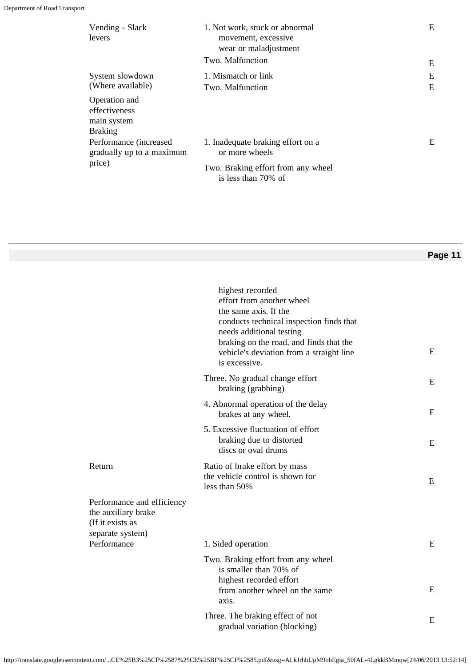| Vending - Slack<br>levers                                       | 1. Not work, stuck or abnormal<br>movement, excessive<br>wear or maladjustment<br>Two. Malfunction | E<br>E |
|-----------------------------------------------------------------|----------------------------------------------------------------------------------------------------|--------|
|                                                                 |                                                                                                    |        |
| System slowdown                                                 | 1. Mismatch or link                                                                                | E      |
| (Where available)                                               | Two. Malfunction                                                                                   | E      |
| Operation and<br>effectiveness<br>main system<br><b>Braking</b> |                                                                                                    |        |
| Performance (increased<br>gradually up to a maximum             | 1. Inadequate braking effort on a<br>or more wheels                                                | E      |
| price)                                                          | Two. Braking effort from any wheel<br>is less than 70% of                                          |        |

|                                                                                           | highest recorded<br>effort from another wheel<br>the same axis. If the<br>conducts technical inspection finds that<br>needs additional testing<br>braking on the road, and finds that the<br>vehicle's deviation from a straight line<br>is excessive. | E         |
|-------------------------------------------------------------------------------------------|--------------------------------------------------------------------------------------------------------------------------------------------------------------------------------------------------------------------------------------------------------|-----------|
|                                                                                           | Three. No gradual change effort<br>braking (grabbing)                                                                                                                                                                                                  | E         |
|                                                                                           | 4. Abnormal operation of the delay<br>brakes at any wheel.                                                                                                                                                                                             | E         |
|                                                                                           | 5. Excessive fluctuation of effort<br>braking due to distorted<br>discs or oval drums                                                                                                                                                                  | E         |
| Return                                                                                    | Ratio of brake effort by mass<br>the vehicle control is shown for<br>less than 50%                                                                                                                                                                     | E         |
| Performance and efficiency<br>the auxiliary brake<br>(If it exists as<br>separate system) |                                                                                                                                                                                                                                                        |           |
| Performance                                                                               | 1. Sided operation                                                                                                                                                                                                                                     | E         |
|                                                                                           | Two. Braking effort from any wheel<br>is smaller than 70% of<br>highest recorded effort<br>from another wheel on the same<br>axis.                                                                                                                     | ${\bf E}$ |
|                                                                                           | Three. The braking effect of not<br>gradual variation (blocking)                                                                                                                                                                                       | E         |

http://translate.googleusercontent.com/...CE%25B3%25CF%2587%25CE%25BF%25CF%2585.pdf&usg=ALkJrhhUpM9ohEgia\_50fAL-4LgkkBMmqw[24/06/2013 13:52:14]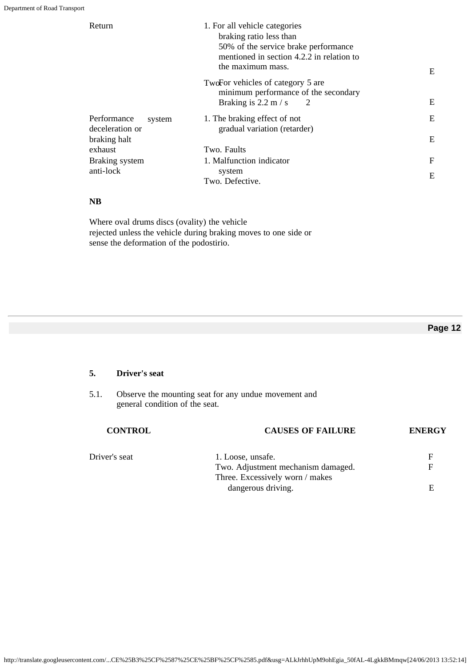| Return                                   | 1. For all vehicle categories<br>braking ratio less than<br>50% of the service brake performance<br>mentioned in section 4.2.2 in relation to<br>the maximum mass. | E |
|------------------------------------------|--------------------------------------------------------------------------------------------------------------------------------------------------------------------|---|
|                                          | TwoFor vehicles of category 5 are<br>minimum performance of the secondary<br>Braking is $2.2 \text{ m/s}$<br>2                                                     | Ε |
| Performance<br>system<br>deceleration or | 1. The braking effect of not<br>gradual variation (retarder)                                                                                                       | E |
| braking halt<br>exhaust                  | Two. Faults                                                                                                                                                        | E |
| Braking system                           | 1. Malfunction indicator                                                                                                                                           | F |
| anti-lock                                | system<br>Two. Defective.                                                                                                                                          | E |

# **NB**

Where oval drums discs (ovality) the vehicle rejected unless the vehicle during braking moves to one side or sense the deformation of the podostirio.

# **Page 12**

# **5. Driver's seat**

5.1. Observe the mounting seat for any undue movement and general condition of the seat.

| <b>CONTROL</b> | <b>CAUSES OF FAILURE</b>           | <b>ENERGY</b> |
|----------------|------------------------------------|---------------|
| Driver's seat  | 1. Loose, unsafe.                  | F             |
|                | Two. Adjustment mechanism damaged. | F             |
|                | Three. Excessively worn / makes    |               |
|                | dangerous driving.                 |               |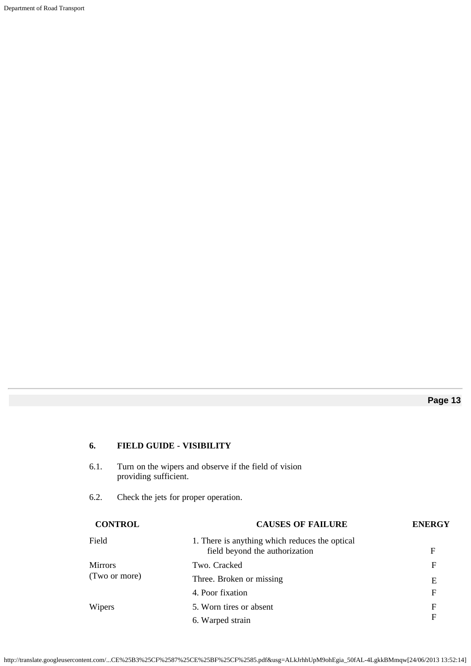Department of Road Transport

# **Page 13**

# **6. FIELD GUIDE - VISIBILITY**

| 6.1.           | providing sufficient. | Turn on the wipers and observe if the field of vision                            |               |
|----------------|-----------------------|----------------------------------------------------------------------------------|---------------|
| 6.2.           |                       | Check the jets for proper operation.                                             |               |
|                | <b>CONTROL</b>        | <b>CAUSES OF FAILURE</b>                                                         | <b>ENERGY</b> |
| Field          |                       | 1. There is anything which reduces the optical<br>field beyond the authorization | F             |
| <b>Mirrors</b> |                       | Two. Cracked                                                                     | F             |
|                | (Two or more)         | Three. Broken or missing                                                         | E             |
|                |                       | 4. Poor fixation                                                                 | F             |
| Wipers         |                       | 5. Worn tires or absent                                                          | F             |
|                | 6. Warped strain      | F                                                                                |               |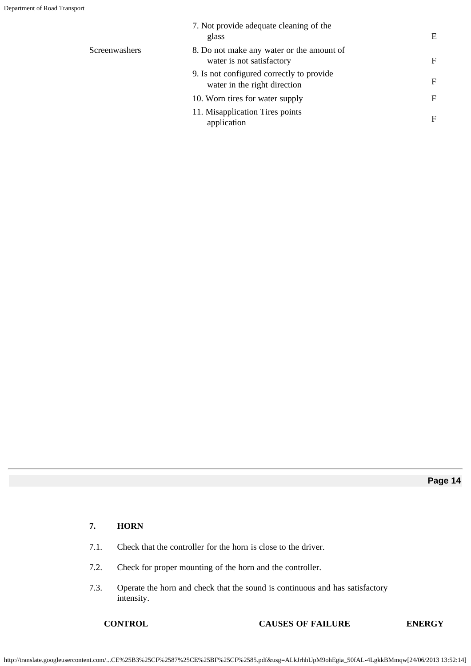|               | 7. Not provide adequate cleaning of the<br>glass                          | E            |
|---------------|---------------------------------------------------------------------------|--------------|
| Screenwashers | 8. Do not make any water or the amount of<br>water is not satisfactory    | $\mathbf{F}$ |
|               | 9. Is not configured correctly to provide<br>water in the right direction | F            |
|               | 10. Worn tires for water supply                                           | F            |
|               | 11. Misapplication Tires points<br>application                            | F            |

# **7. HORN**

- 7.1. Check that the controller for the horn is close to the driver.
- 7.2. Check for proper mounting of the horn and the controller.
- 7.3. Operate the horn and check that the sound is continuous and has satisfactory intensity.

# **CONTROL CAUSES OF FAILURE ENERGY**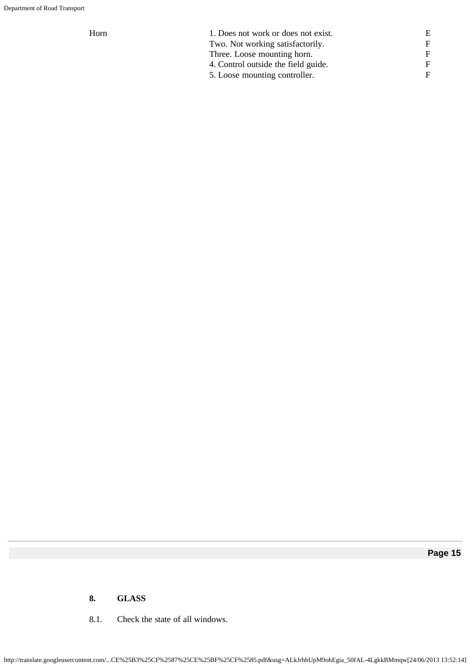| Horn | 1. Does not work or does not exist. |   |
|------|-------------------------------------|---|
|      | Two. Not working satisfactorily.    | F |
|      | Three. Loose mounting horn.         | F |
|      | 4. Control outside the field guide. | F |
|      | 5. Loose mounting controller.       | F |
|      |                                     |   |

# **8. GLASS**

8.1. Check the state of all windows.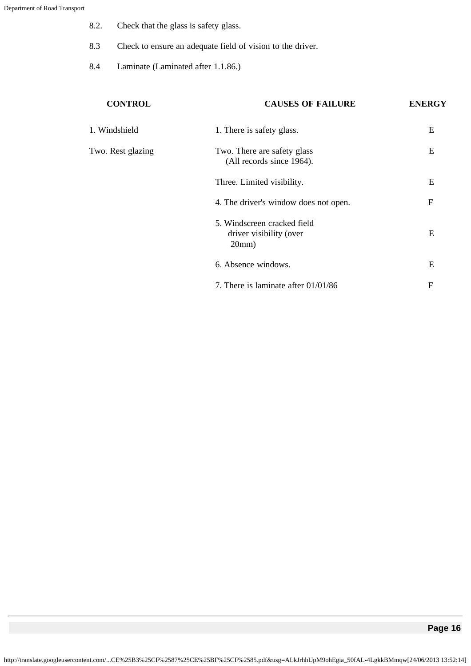- 8.2. Check that the glass is safety glass.
- 8.3 Check to ensure an adequate field of vision to the driver.
- 8.4 Laminate (Laminated after 1.1.86.)

| <b>CONTROL</b>    | <b>CAUSES OF FAILURE</b>                                        | <b>ENERGY</b> |
|-------------------|-----------------------------------------------------------------|---------------|
| 1. Windshield     | 1. There is safety glass.                                       | E             |
| Two. Rest glazing | Two. There are safety glass<br>(All records since 1964).        | E             |
|                   | Three. Limited visibility.                                      | E             |
|                   | 4. The driver's window does not open.                           | $\mathbf{F}$  |
|                   | 5. Windscreen cracked field<br>driver visibility (over<br>20mm) | E             |
|                   | 6. Absence windows.                                             | E             |
|                   | 7. There is laminate after $01/01/86$                           | $\mathbf{F}$  |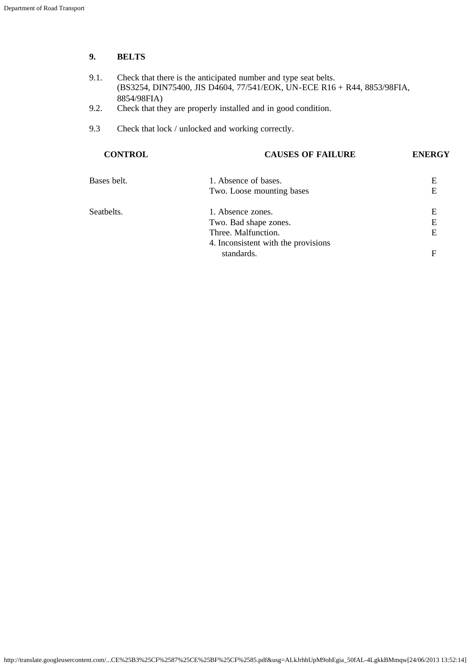# **9. BELTS**

- 9.1. Check that there is the anticipated number and type seat belts. (BS3254, DIN75400, JIS D4604, 77/541/EOK, UN-ECE R16 + R44, 8853/98FIA, 8854/98FIA)
- 9.2. Check that they are properly installed and in good condition.
- 9.3 Check that lock / unlocked and working correctly.

| <b>CONTROL</b> | <b>CAUSES OF FAILURE</b>            | <b>ENERGY</b> |
|----------------|-------------------------------------|---------------|
| Bases belt.    | 1. Absence of bases.                | Е             |
|                | Two. Loose mounting bases           | E             |
| Seatbelts.     | 1. Absence zones.                   | Е             |
|                | Two. Bad shape zones.               | E             |
|                | Three. Malfunction.                 | E             |
|                | 4. Inconsistent with the provisions |               |
|                | standards.                          | F             |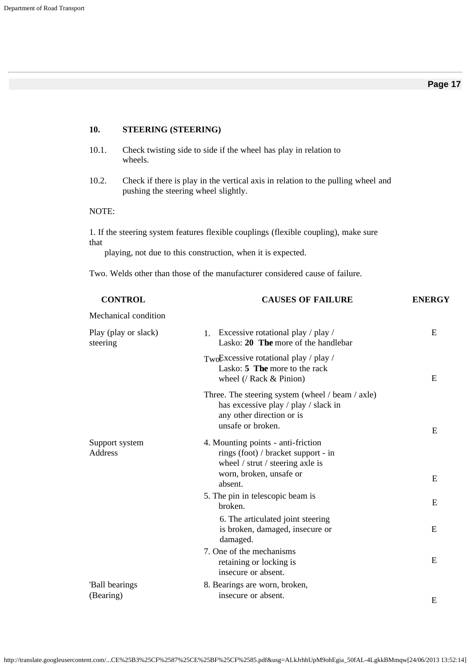# **10. STEERING (STEERING)**

- 10.1. Check twisting side to side if the wheel has play in relation to wheels.
- 10.2. Check if there is play in the vertical axis in relation to the pulling wheel and pushing the steering wheel slightly.

#### NOTE:

1. If the steering system features flexible couplings (flexible coupling), make sure that

playing, not due to this construction, when it is expected.

Two. Welds other than those of the manufacturer considered cause of failure.

| <b>CONTROL</b>                   | <b>CAUSES OF FAILURE</b>                                                                                                                   | <b>ENERGY</b> |
|----------------------------------|--------------------------------------------------------------------------------------------------------------------------------------------|---------------|
| Mechanical condition             |                                                                                                                                            |               |
| Play (play or slack)<br>steering | Excessive rotational play / play /<br>$1_{\cdot}$<br>Lasko: 20 The more of the handlebar                                                   | E             |
|                                  | TwoExcessive rotational play / play /<br>Lasko: 5 The more to the rack<br>wheel $($ / Rack & Pinion)                                       | E             |
|                                  | Three. The steering system (wheel / beam / axle)<br>has excessive play / play / slack in<br>any other direction or is<br>unsafe or broken. | E             |
| Support system<br>Address        | 4. Mounting points - anti-friction<br>rings (foot) / bracket support - in<br>wheel / strut / steering axle is<br>worn, broken, unsafe or   |               |
|                                  | absent.                                                                                                                                    | E             |
|                                  | 5. The pin in telescopic beam is<br>broken.                                                                                                | E             |
|                                  | 6. The articulated joint steering<br>is broken, damaged, insecure or<br>damaged.                                                           | E             |
|                                  | 7. One of the mechanisms<br>retaining or locking is<br>insecure or absent.                                                                 | E             |
| 'Ball bearings<br>(Bearing)      | 8. Bearings are worn, broken,<br>insecure or absent.                                                                                       | E             |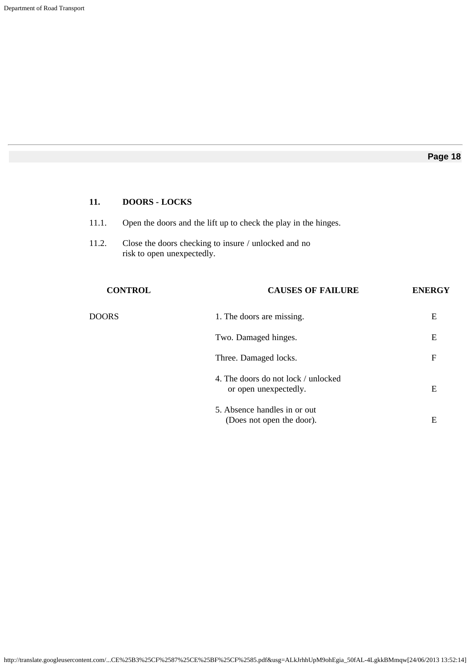# **11. DOORS - LOCKS**

- 11.1. Open the doors and the lift up to check the play in the hinges.
- 11.2. Close the doors checking to insure / unlocked and no risk to open unexpectedly.

| <b>CONTROL</b> | <b>CAUSES OF FAILURE</b>                                     | <b>ENERGY</b> |
|----------------|--------------------------------------------------------------|---------------|
| <b>DOORS</b>   | 1. The doors are missing.                                    | E             |
|                | Two. Damaged hinges.                                         | E             |
|                | Three. Damaged locks.                                        | F             |
|                | 4. The doors do not lock / unlocked<br>or open unexpectedly. | E             |
|                | 5. Absence handles in or out<br>(Does not open the door).    | Ε             |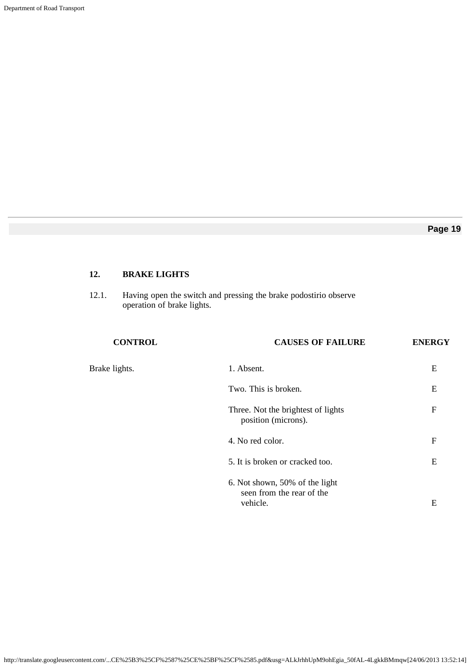# **12. BRAKE LIGHTS**

12.1. Having open the switch and pressing the brake podostirio observe operation of brake lights.

| <b>CONTROL</b> | <b>CAUSES OF FAILURE</b>                                                | <b>ENERGY</b> |
|----------------|-------------------------------------------------------------------------|---------------|
| Brake lights.  | 1. Absent.                                                              | E             |
|                | Two. This is broken.                                                    | E             |
|                | Three. Not the brightest of lights<br>position (microns).               | $\mathbf{F}$  |
|                | 4. No red color.                                                        | $\mathbf{F}$  |
|                | 5. It is broken or cracked too.                                         | E             |
|                | 6. Not shown, 50% of the light<br>seen from the rear of the<br>vehicle. | Ε             |
|                |                                                                         |               |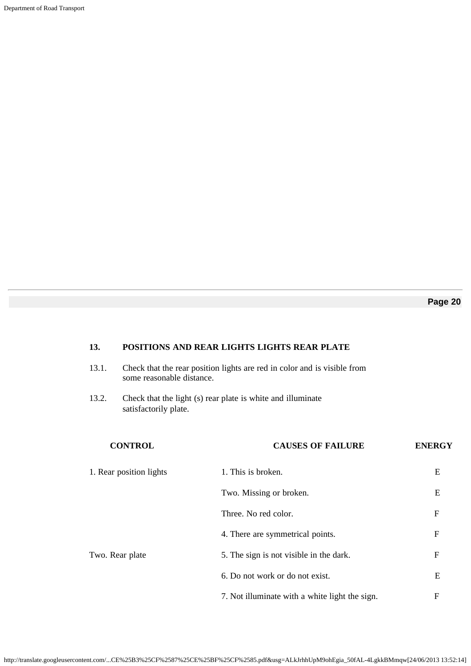Department of Road Transport

# **Page 20**

# **13. POSITIONS AND REAR LIGHTS LIGHTS REAR PLATE**

- 13.1. Check that the rear position lights are red in color and is visible from some reasonable distance.
- 13.2. Check that the light (s) rear plate is white and illuminate satisfactorily plate.

| <b>CONTROL</b>          | <b>CAUSES OF FAILURE</b>                       | <b>ENERGY</b> |
|-------------------------|------------------------------------------------|---------------|
| 1. Rear position lights | 1. This is broken.                             | E             |
|                         | Two. Missing or broken.                        | E             |
|                         | Three. No red color.                           | F             |
|                         | 4. There are symmetrical points.               | F             |
| Two. Rear plate         | 5. The sign is not visible in the dark.        | $\mathbf{F}$  |
|                         | 6. Do not work or do not exist.                | E             |
|                         | 7. Not illuminate with a white light the sign. | $\mathbf{F}$  |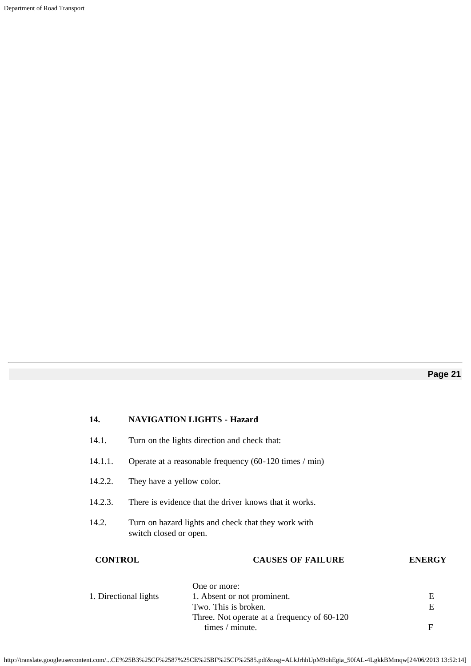Department of Road Transport

# **14. NAVIGATION LIGHTS - Hazard** 14.1. Turn on the lights direction and check that: 14.1.1. Operate at a reasonable frequency (60-120 times / min) 14.2.2. They have a yellow color. 14.2.3. There is evidence that the driver knows that it works. 14.2. Turn on hazard lights and check that they work with switch closed or open. **CONTROL CAUSES OF FAILURE ENERGY** One or more: 1. Directional lights 1. Absent or not prominent. E Two. This is broken. E Three. Not operate at a frequency of 60-120 times / minute. F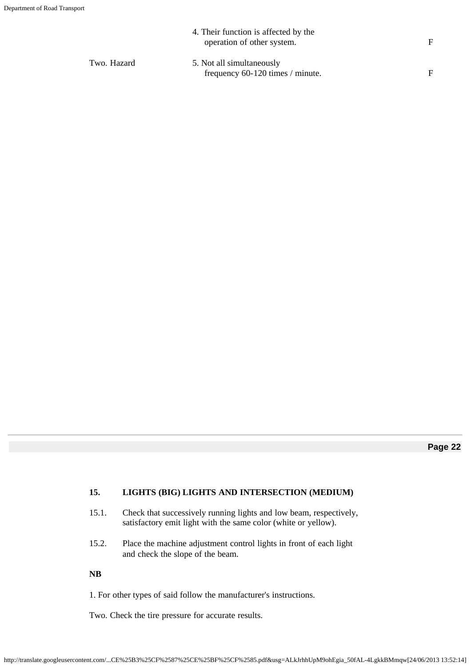|             | 4. Their function is affected by the<br>operation of other system. | F |
|-------------|--------------------------------------------------------------------|---|
| Two. Hazard | 5. Not all simultaneously<br>frequency 60-120 times / minute.      | F |

# **15. LIGHTS (BIG) LIGHTS AND INTERSECTION (MEDIUM)**

- 15.1. Check that successively running lights and low beam, respectively, satisfactory emit light with the same color (white or yellow).
- 15.2. Place the machine adjustment control lights in front of each light and check the slope of the beam.

**NB**

1. For other types of said follow the manufacturer's instructions.

Two. Check the tire pressure for accurate results.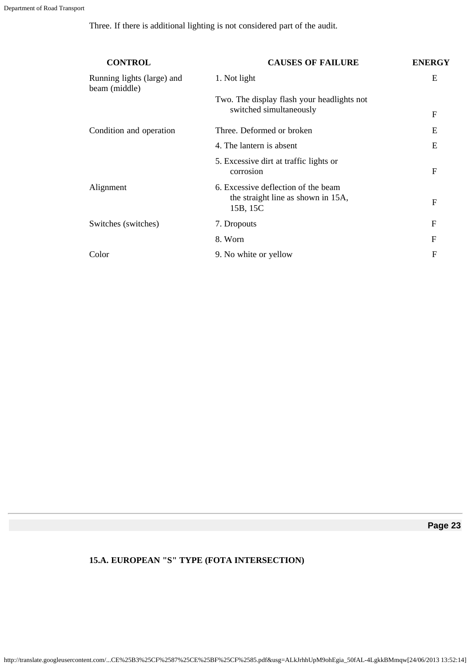Three. If there is additional lighting is not considered part of the audit.

| <b>CONTROL</b>                              | <b>CAUSES OF FAILURE</b>                                                              | <b>ENERGY</b> |
|---------------------------------------------|---------------------------------------------------------------------------------------|---------------|
| Running lights (large) and<br>beam (middle) | 1. Not light                                                                          | E             |
|                                             | Two. The display flash your headlights not                                            |               |
|                                             | switched simultaneously                                                               | F             |
| Condition and operation                     | Three. Deformed or broken                                                             | E             |
|                                             | 4. The lantern is absent                                                              | E             |
|                                             | 5. Excessive dirt at traffic lights or<br>corrosion                                   | F             |
| Alignment                                   | 6. Excessive deflection of the beam<br>the straight line as shown in 15A,<br>15B, 15C | F             |
| Switches (switches)                         | 7. Dropouts                                                                           | $\mathbf{F}$  |
|                                             | 8. Worn                                                                               | $\mathbf{F}$  |
| Color                                       | 9. No white or yellow                                                                 | F             |

**Page 23**

# **15.A. EUROPEAN "S" TYPE (FOTA INTERSECTION)**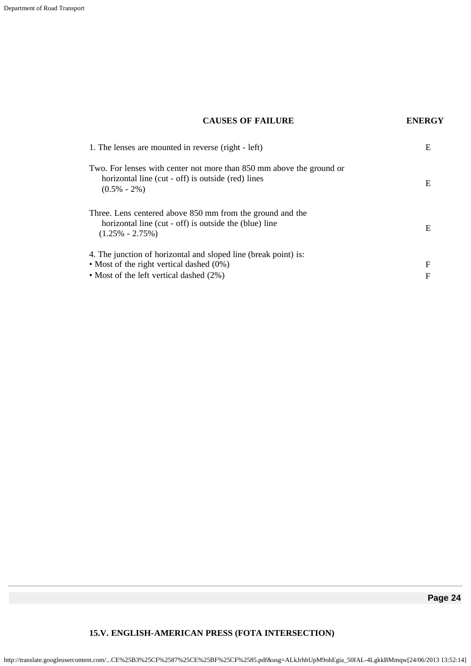# **CAUSES OF FAILURE ENERGY**

| 1. The lenses are mounted in reverse (right - left)                                                                                                          | E      |
|--------------------------------------------------------------------------------------------------------------------------------------------------------------|--------|
| Two. For lenses with center not more than 850 mm above the ground or<br>horizontal line (cut - off) is outside (red) lines<br>$(0.5\% - 2\%)$                | Е      |
| Three. Lens centered above 850 mm from the ground and the<br>horizontal line (cut - off) is outside the (blue) line<br>$(1.25\% - 2.75\%)$                   | E      |
| 4. The junction of horizontal and sloped line (break point) is:<br>• Most of the right vertical dashed $(0\%)$<br>• Most of the left vertical dashed $(2\%)$ | F<br>F |

# **15.V. ENGLISH-AMERICAN PRESS (FOTA INTERSECTION)**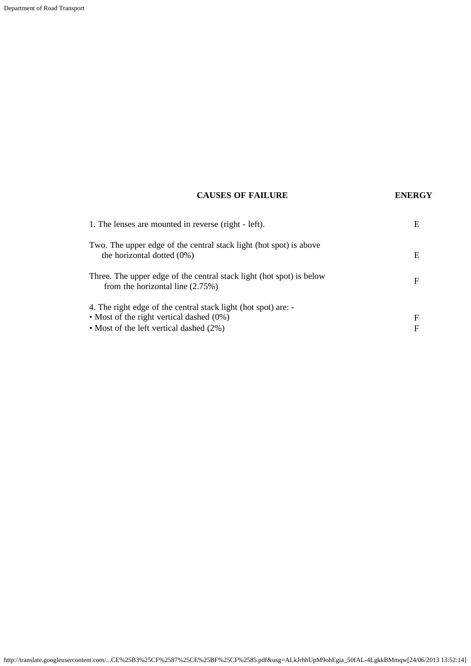# **CAUSES OF FAILURE ENERGY**

| 1. The lenses are mounted in reverse (right - left).                                                       | Е |
|------------------------------------------------------------------------------------------------------------|---|
| Two. The upper edge of the central stack light (hot spot) is above<br>the horizontal dotted $(0\%)$        | Е |
| Three. The upper edge of the central stack light (hot spot) is below<br>from the horizontal line $(2.75%)$ | F |
| 4. The right edge of the central stack light (hot spot) are: -                                             |   |
| • Most of the right vertical dashed $(0\%)$                                                                | F |
| • Most of the left vertical dashed (2%)                                                                    | F |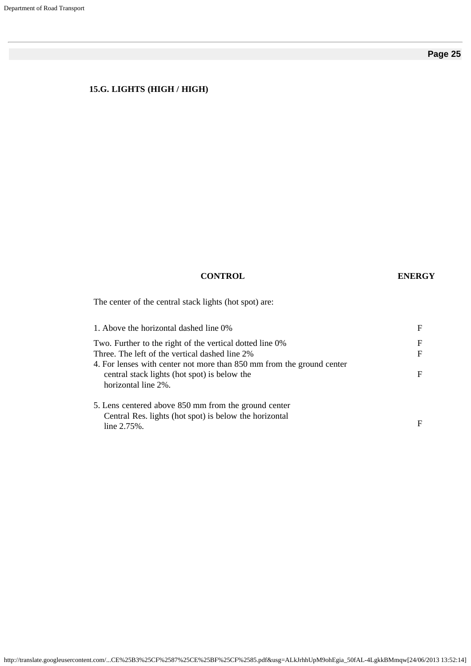# **15.G. LIGHTS (HIGH / HIGH)**

# **CONTROL ENERGY**

The center of the central stack lights (hot spot) are:

| 1. Above the horizontal dashed line 0%                                                                                                       | F                 |
|----------------------------------------------------------------------------------------------------------------------------------------------|-------------------|
| Two. Further to the right of the vertical dotted line 0%<br>Three. The left of the vertical dashed line 2%                                   | F<br>$\mathbf{F}$ |
| 4. For lenses with center not more than 850 mm from the ground center<br>central stack lights (hot spot) is below the<br>horizontal line 2%. |                   |
| 5. Lens centered above 850 mm from the ground center<br>Central Res. lights (hot spot) is below the horizontal<br>line $2.75%$ .             | F                 |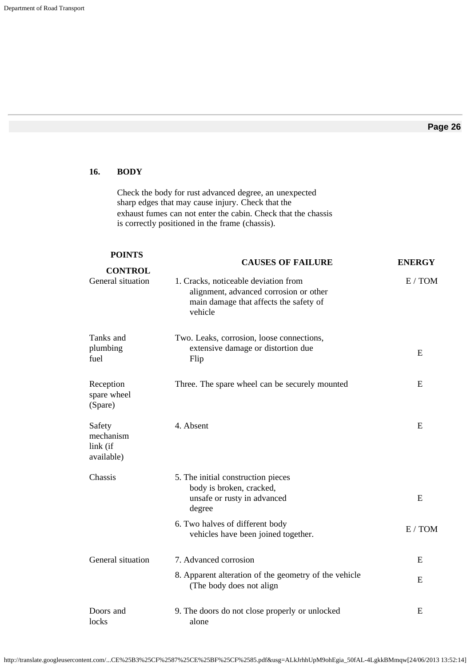# **16. BODY**

Check the body for rust advanced degree, an unexpected sharp edges that may cause injury. Check that the exhaust fumes can not enter the cabin. Check that the chassis is correctly positioned in the frame (chassis).

| <b>POINTS</b>                                 | <b>CAUSES OF FAILURE</b>                                                                                                            | <b>ENERGY</b> |
|-----------------------------------------------|-------------------------------------------------------------------------------------------------------------------------------------|---------------|
| <b>CONTROL</b><br>General situation           | 1. Cracks, noticeable deviation from<br>alignment, advanced corrosion or other<br>main damage that affects the safety of<br>vehicle | E / TOM       |
| Tanks and<br>plumbing<br>fuel                 | Two. Leaks, corrosion, loose connections,<br>extensive damage or distortion due<br>Flip                                             | E             |
| Reception<br>spare wheel<br>(Spare)           | Three. The spare wheel can be securely mounted                                                                                      | E             |
| Safety<br>mechanism<br>link (if<br>available) | 4. Absent                                                                                                                           | E             |
| Chassis                                       | 5. The initial construction pieces<br>body is broken, cracked,<br>unsafe or rusty in advanced<br>degree                             | E             |
|                                               | 6. Two halves of different body<br>vehicles have been joined together.                                                              | E / TOM       |
| General situation                             | 7. Advanced corrosion                                                                                                               | E             |
|                                               | 8. Apparent alteration of the geometry of the vehicle<br>(The body does not align                                                   | E             |
| Doors and<br>locks                            | 9. The doors do not close properly or unlocked<br>alone                                                                             | E             |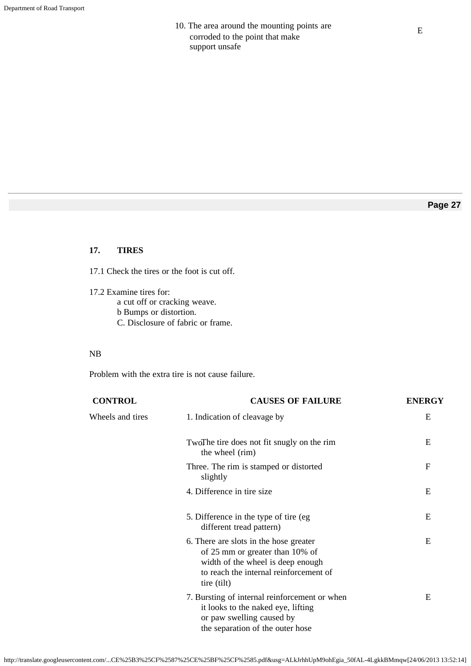# 10. The area around the mounting points are corroded to the point that make support unsafe

# **Page 27**

### **17. TIRES**

17.1 Check the tires or the foot is cut off.

17.2 Examine tires for: a cut off or cracking weave. b Bumps or distortion. C. Disclosure of fabric or frame.

### NB

Problem with the extra tire is not cause failure.

| <b>CONTROL</b>   | <b>CAUSES OF FAILURE</b>                                                                                                                                                | <b>ENERGY</b> |
|------------------|-------------------------------------------------------------------------------------------------------------------------------------------------------------------------|---------------|
| Wheels and tires | 1. Indication of cleavage by                                                                                                                                            | E             |
|                  | TwoThe tire does not fit snugly on the rim<br>the wheel (rim)                                                                                                           | E             |
|                  | Three. The rim is stamped or distorted<br>slightly                                                                                                                      | $\mathbf{F}$  |
|                  | 4. Difference in tire size                                                                                                                                              | E             |
|                  | 5. Difference in the type of tire (eg)<br>different tread pattern)                                                                                                      | E             |
|                  | 6. There are slots in the hose greater<br>of 25 mm or greater than 10% of<br>width of the wheel is deep enough<br>to reach the internal reinforcement of<br>tire (tilt) | E             |
|                  | 7. Bursting of internal reinforcement or when<br>it looks to the naked eye, lifting<br>or paw swelling caused by<br>the separation of the outer hose                    | E             |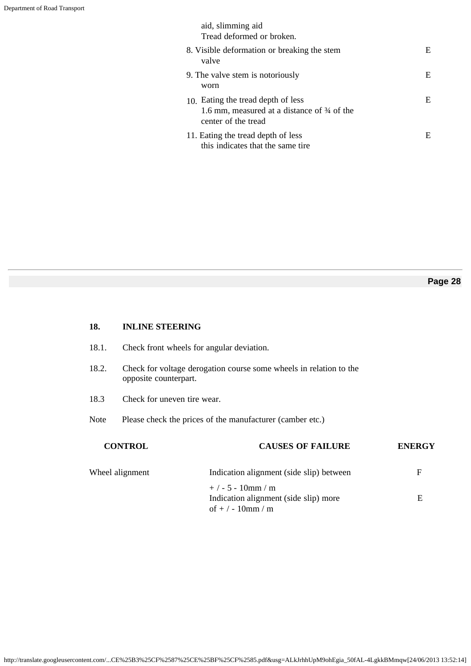| aid, slimming aid<br>Tread deformed or broken.                                                           |    |
|----------------------------------------------------------------------------------------------------------|----|
| 8. Visible deformation or breaking the stem<br>valve                                                     | E. |
| 9. The valve stem is notoriously<br>worn                                                                 | E. |
| 10. Eating the tread depth of less<br>1.6 mm, measured at a distance of 34 of the<br>center of the tread | E  |
| 11. Eating the tread depth of less<br>this indicates that the same tire                                  | E  |

# **18. INLINE STEERING**

- 18.1. Check front wheels for angular deviation.
- 18.2. Check for voltage derogation course some wheels in relation to the opposite counterpart.
- 18.3 Check for uneven tire wear.
- Note Please check the prices of the manufacturer (camber etc.)

| <b>CONTROL</b>  | <b>CAUSES OF FAILURE</b>                                                          | <b>ENERGY</b> |
|-----------------|-----------------------------------------------------------------------------------|---------------|
| Wheel alignment | Indication alignment (side slip) between                                          | F             |
|                 | $+/- 5 - 10$ mm / m<br>Indication alignment (side slip) more<br>of $+/-10$ mm / m | E             |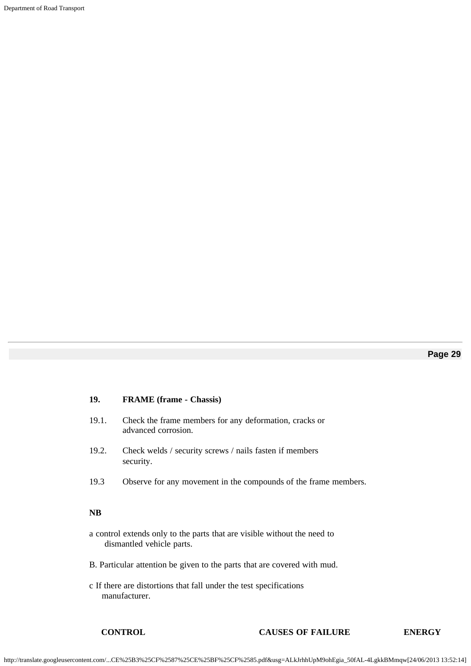Department of Road Transport

# **Page 29**

#### **19. FRAME (frame - Chassis)**

- 19.1. Check the frame members for any deformation, cracks or advanced corrosion.
- 19.2. Check welds / security screws / nails fasten if members security.
- 19.3 Observe for any movement in the compounds of the frame members.

#### **NB**

- a control extends only to the parts that are visible without the need to dismantled vehicle parts.
- B. Particular attention be given to the parts that are covered with mud.
- c If there are distortions that fall under the test specifications manufacturer.

#### **CONTROL CAUSES OF FAILURE ENERGY**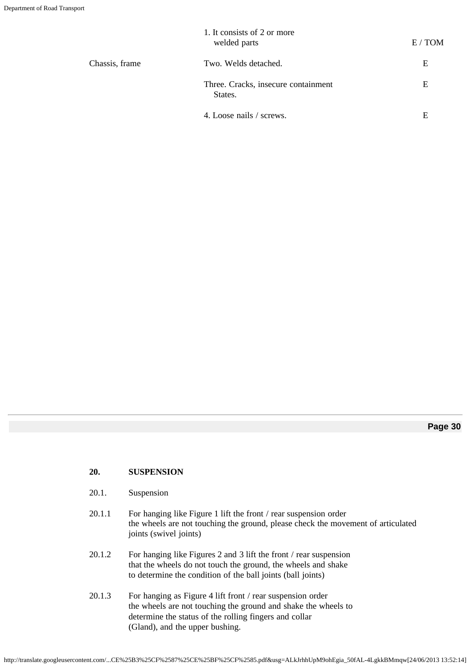|                | 1. It consists of 2 or more<br>welded parts    | E/TOM |
|----------------|------------------------------------------------|-------|
| Chassis, frame | Two. Welds detached.                           | E     |
|                | Three. Cracks, insecure containment<br>States. | E     |
|                | 4. Loose nails / screws.                       | E     |

### **20. SUSPENSION**

- 20.1. Suspension
- 20.1.1 For hanging like Figure 1 lift the front / rear suspension order the wheels are not touching the ground, please check the movement of articulated joints (swivel joints)
- 20.1.2 For hanging like Figures 2 and 3 lift the front / rear suspension that the wheels do not touch the ground, the wheels and shake to determine the condition of the ball joints (ball joints)
- 20.1.3 For hanging as Figure 4 lift front / rear suspension order the wheels are not touching the ground and shake the wheels to determine the status of the rolling fingers and collar (Gland), and the upper bushing.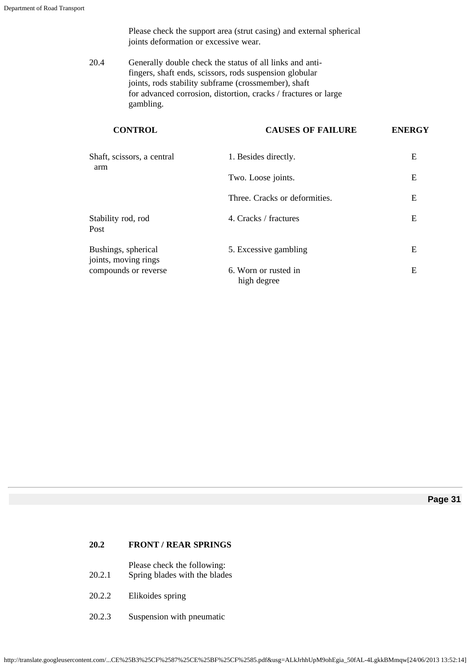Please check the support area (strut casing) and external spherical joints deformation or excessive wear.

20.4 Generally double check the status of all links and antifingers, shaft ends, scissors, rods suspension globular joints, rods stability subframe (crossmember), shaft for advanced corrosion, distortion, cracks / fractures or large gambling.

| <b>CONTROL</b>                              | <b>CAUSES OF FAILURE</b>            | <b>ENERGY</b> |
|---------------------------------------------|-------------------------------------|---------------|
| Shaft, scissors, a central                  | 1. Besides directly.                | E             |
| arm                                         | Two. Loose joints.                  | E             |
|                                             | Three. Cracks or deformities.       | E             |
| Stability rod, rod<br>Post                  | 4. Cracks / fractures               | E             |
| Bushings, spherical<br>joints, moving rings | 5. Excessive gambling               | E             |
| compounds or reverse                        | 6. Worn or rusted in<br>high degree | E             |

**Page 31**

# **20.2 FRONT / REAR SPRINGS**

Please check the following:

- 20.2.1 Spring blades with the blades
- 20.2.2 Elikoides spring
- 20.2.3 Suspension with pneumatic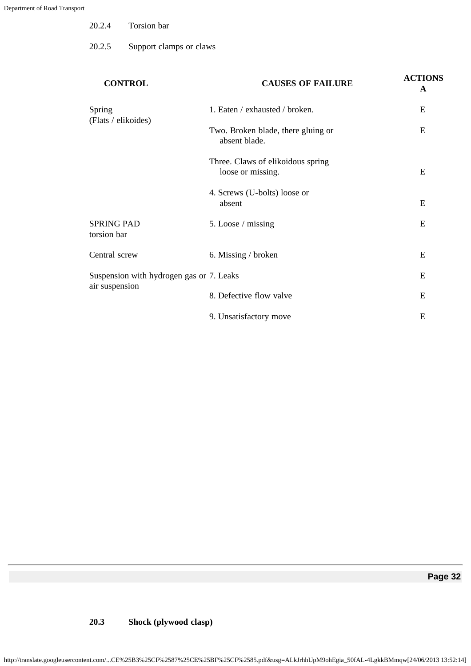| 20.2.4<br>Torsion bar |
|-----------------------|
|-----------------------|

20.2.5 Support clamps or claws

| <b>CONTROL</b>                                             | <b>CAUSES OF FAILURE</b>                               | <b>ACTIONS</b><br>A |
|------------------------------------------------------------|--------------------------------------------------------|---------------------|
| Spring<br>(Flats / elikoides)                              | 1. Eaten / exhausted / broken.                         | E                   |
|                                                            | Two. Broken blade, there gluing or<br>absent blade.    | E                   |
|                                                            | Three. Claws of elikoidous spring<br>loose or missing. | E                   |
|                                                            | 4. Screws (U-bolts) loose or<br>absent                 | E                   |
| <b>SPRING PAD</b><br>torsion bar                           | 5. Loose / missing                                     | E                   |
| Central screw                                              | 6. Missing / broken                                    | E                   |
| Suspension with hydrogen gas or 7. Leaks<br>air suspension |                                                        | E                   |
|                                                            | 8. Defective flow valve                                | E                   |
|                                                            | 9. Unsatisfactory move                                 | E                   |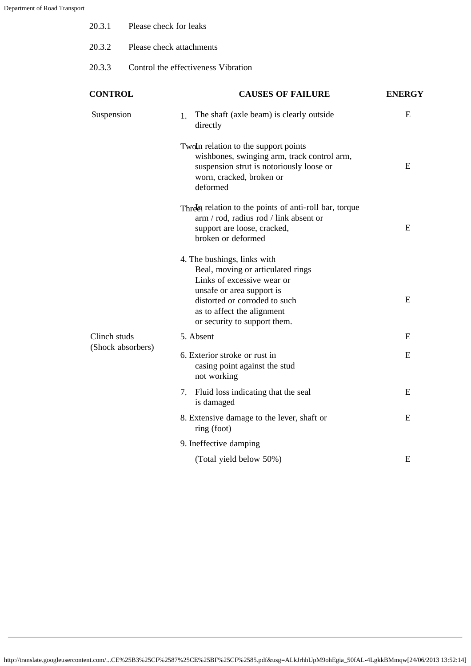| 20.3.1            | Please check for leaks              |                                                                                                                                                                                            |               |
|-------------------|-------------------------------------|--------------------------------------------------------------------------------------------------------------------------------------------------------------------------------------------|---------------|
| 20.3.2            | Please check attachments            |                                                                                                                                                                                            |               |
| 20.3.3            | Control the effectiveness Vibration |                                                                                                                                                                                            |               |
| <b>CONTROL</b>    |                                     | <b>CAUSES OF FAILURE</b>                                                                                                                                                                   | <b>ENERGY</b> |
| Suspension        |                                     | The shaft (axle beam) is clearly outside<br>$1_{-}$<br>directly                                                                                                                            | E             |
|                   |                                     | Two In relation to the support points<br>wishbones, swinging arm, track control arm,<br>suspension strut is notoriously loose or<br>worn, cracked, broken or<br>deformed                   | E             |
|                   |                                     | Threla relation to the points of anti-roll bar, torque<br>arm / rod, radius rod / link absent or<br>support are loose, cracked,<br>broken or deformed                                      | E             |
|                   |                                     | 4. The bushings, links with<br>Beal, moving or articulated rings<br>Links of excessive wear or<br>unsafe or area support is<br>distorted or corroded to such<br>as to affect the alignment | E             |
| Clinch studs      |                                     | or security to support them.<br>5. Absent                                                                                                                                                  | E             |
| (Shock absorbers) |                                     | 6. Exterior stroke or rust in<br>casing point against the stud<br>not working                                                                                                              | E             |
|                   |                                     | Fluid loss indicating that the seal<br>7.<br>is damaged                                                                                                                                    | E             |
|                   |                                     | 8. Extensive damage to the lever, shaft or<br>ring (foot)                                                                                                                                  | E             |
|                   |                                     | 9. Ineffective damping                                                                                                                                                                     |               |
|                   |                                     | (Total yield below 50%)                                                                                                                                                                    | E             |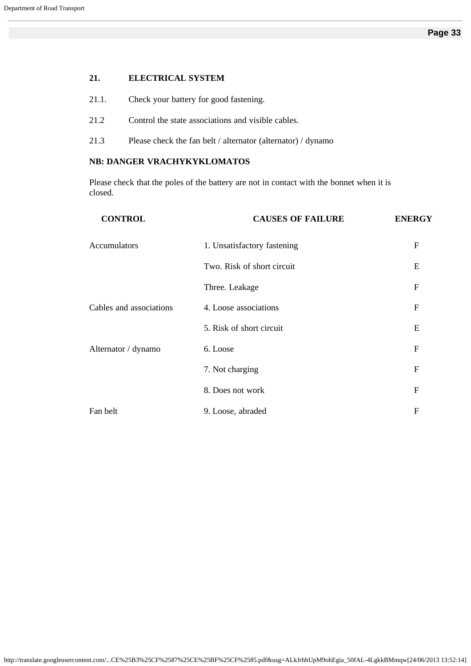#### **21. ELECTRICAL SYSTEM**

- 21.1. Check your battery for good fastening.
- 21.2 Control the state associations and visible cables.
- 21.3 Please check the fan belt / alternator (alternator) / dynamo

# **NB: DANGER VRACHYKYKLOMATOS**

Please check that the poles of the battery are not in contact with the bonnet when it is closed.

| <b>CONTROL</b>          | <b>CAUSES OF FAILURE</b>    | <b>ENERGY</b>  |
|-------------------------|-----------------------------|----------------|
| <b>Accumulators</b>     | 1. Unsatisfactory fastening | $\mathbf F$    |
|                         | Two. Risk of short circuit  | E              |
|                         | Three. Leakage              | ${\bf F}$      |
| Cables and associations | 4. Loose associations       | $\mathbf F$    |
|                         | 5. Risk of short circuit    | E              |
| Alternator / dynamo     | 6. Loose                    | $\mathbf{F}$   |
|                         | 7. Not charging             | $\mathbf F$    |
|                         | 8. Does not work            | $\overline{F}$ |
| Fan belt                | 9. Loose, abraded           | $\overline{F}$ |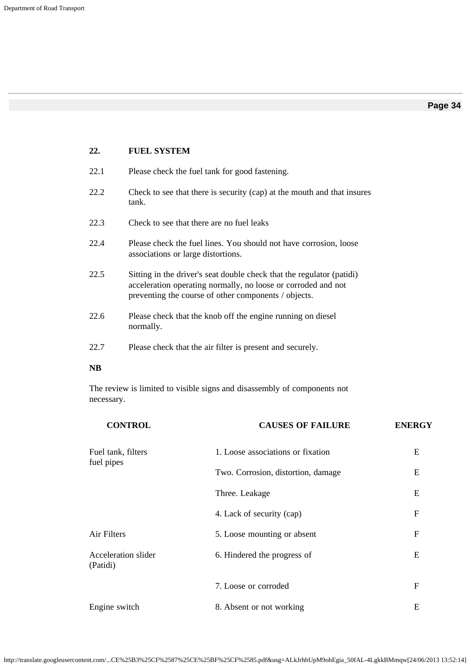| 22.       | <b>FUEL SYSTEM</b>                                                                                                                                                                             |
|-----------|------------------------------------------------------------------------------------------------------------------------------------------------------------------------------------------------|
| 22.1      | Please check the fuel tank for good fastening.                                                                                                                                                 |
| 22.2      | Check to see that there is security (cap) at the mouth and that insures<br>tank.                                                                                                               |
| 22.3      | Check to see that there are no fuel leaks                                                                                                                                                      |
| 22.4      | Please check the fuel lines. You should not have corrosion, loose<br>associations or large distortions.                                                                                        |
| 22.5      | Sitting in the driver's seat double check that the regulator (patidi)<br>acceleration operating normally, no loose or corroded and not<br>preventing the course of other components / objects. |
| 22.6      | Please check that the knob off the engine running on diesel<br>normally.                                                                                                                       |
| 22.7      | Please check that the air filter is present and securely.                                                                                                                                      |
| <b>NB</b> |                                                                                                                                                                                                |

The review is limited to visible signs and disassembly of components not necessary.

| <b>CONTROL</b>                  | <b>CAUSES OF FAILURE</b>           | <b>ENERGY</b>  |
|---------------------------------|------------------------------------|----------------|
| Fuel tank, filters              | 1. Loose associations or fixation  | E              |
| fuel pipes                      | Two. Corrosion, distortion, damage | E              |
|                                 | Three. Leakage                     | E              |
|                                 | 4. Lack of security (cap)          | $\mathbf F$    |
| Air Filters                     | 5. Loose mounting or absent        | $\mathbf F$    |
| Acceleration slider<br>(Patidi) | 6. Hindered the progress of        | E              |
|                                 | 7. Loose or corroded               | $\overline{F}$ |
| Engine switch                   | 8. Absent or not working           | E              |